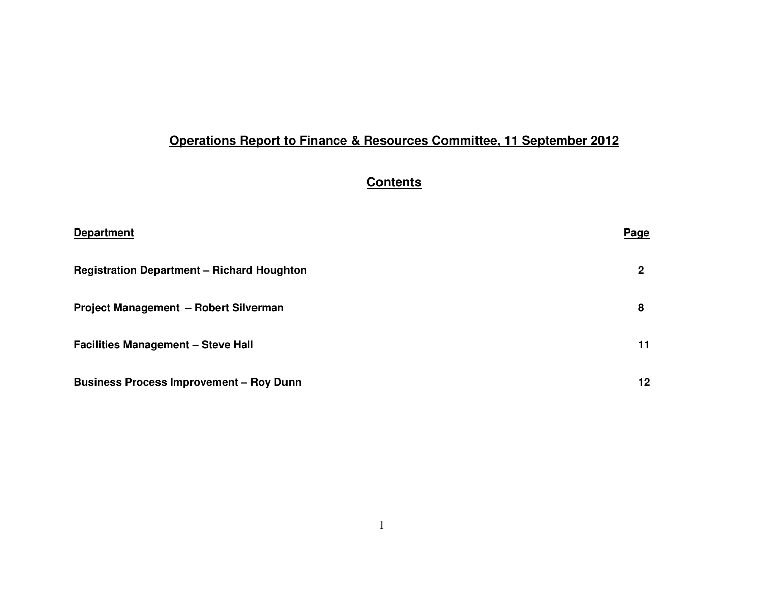# **Operations Report to Finance & Resources Committee, 11 September 2012**

# **Contents**

| <b>Department</b>                                 | Page |
|---------------------------------------------------|------|
| <b>Registration Department - Richard Houghton</b> | 2    |
| <b>Project Management - Robert Silverman</b>      | 8    |
| <b>Facilities Management - Steve Hall</b>         | 11   |
| <b>Business Process Improvement - Roy Dunn</b>    | 12   |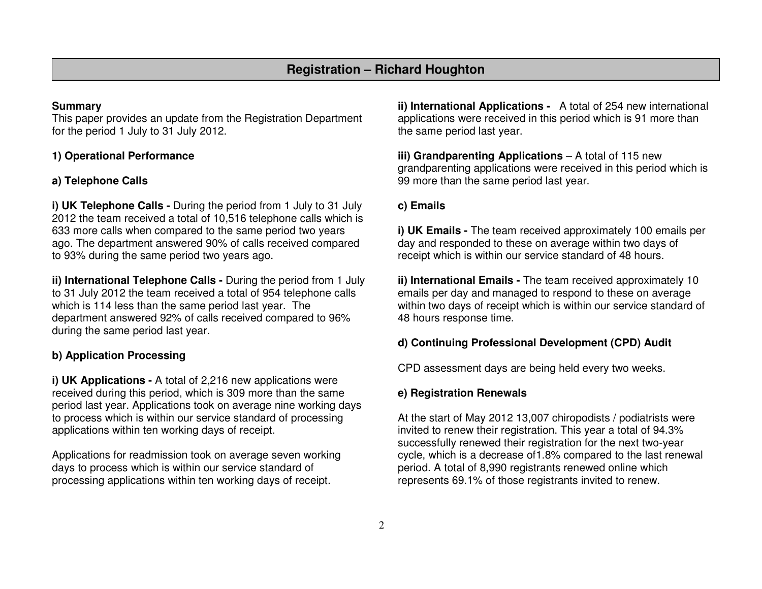#### **Summary**

 This paper provides an update from the Registration Department for the period 1 July to 31 July 2012.

## **1) Operational Performance**

### **a) Telephone Calls**

**i) UK Telephone Calls -** During the period from 1 July to 31 July 2012 the team received a total of 10,516 telephone calls which is 633 more calls when compared to the same period two years ago. The department answered 90% of calls received compared to 93% during the same period two years ago.

**ii) International Telephone Calls -** During the period from 1 July to 31 July 2012 the team received a total of 954 telephone calls which is 114 less than the same period last year. The department answered 92% of calls received compared to 96% during the same period last year.

#### **b) Application Processing**

**i) UK Applications -** A total of 2,216 new applications were received during this period, which is 309 more than the same period last year. Applications took on average nine working days to process which is within our service standard of processing applications within ten working days of receipt.

Applications for readmission took on average seven working days to process which is within our service standard of processing applications within ten working days of receipt.

**ii) International Applications -** A total of 254 new international applications were received in this period which is 91 more than the same period last year.

**iii) Grandparenting Applications** – A total of 115 new grandparenting applications were received in this period which is 99 more than the same period last year.

#### **c) Emails**

**i) UK Emails -** The team received approximately 100 emails per day and responded to these on average within two days of receipt which is within our service standard of 48 hours.

**ii) International Emails -** The team received approximately 10 emails per day and managed to respond to these on average within two days of receipt which is within our service standard of 48 hours response time.

#### **d) Continuing Professional Development (CPD) Audit**

CPD assessment days are being held every two weeks.

#### **e) Registration Renewals**

At the start of May 2012 13,007 chiropodists / podiatrists were invited to renew their registration. This year a total of 94.3% successfully renewed their registration for the next two-year cycle, which is a decrease of1.8% compared to the last renewal period. A total of 8,990 registrants renewed online which represents 69.1% of those registrants invited to renew.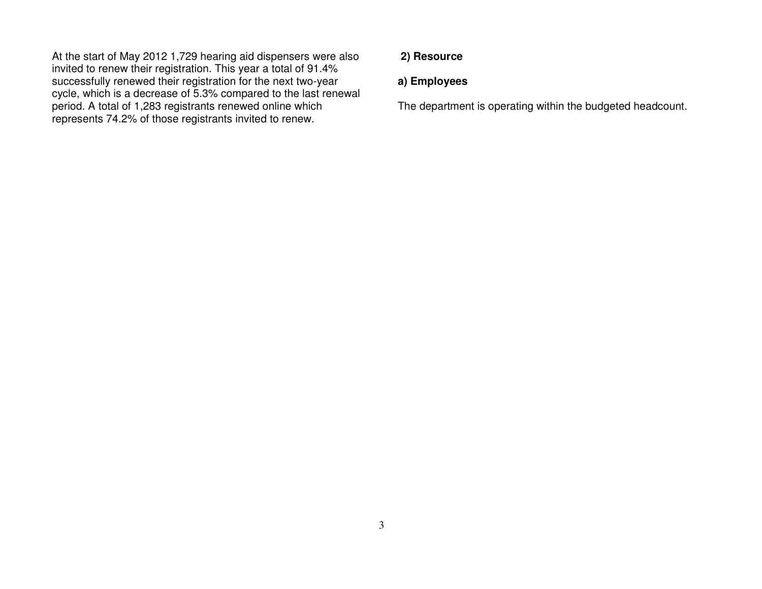At the start of May 2012 1,729 hearing aid dispensers were also invited to renew their registration. This year a total of 91.4% successfully renewed their registration for the next two-year cycle, which is a decrease of 5.3% compared to the last renewal period. A total of 1,283 registrants renewed online which represents 74.2% of those registrants invited to renew.

#### **2) Resource**

## **a) Employees**

The department is operating within the budgeted headcount.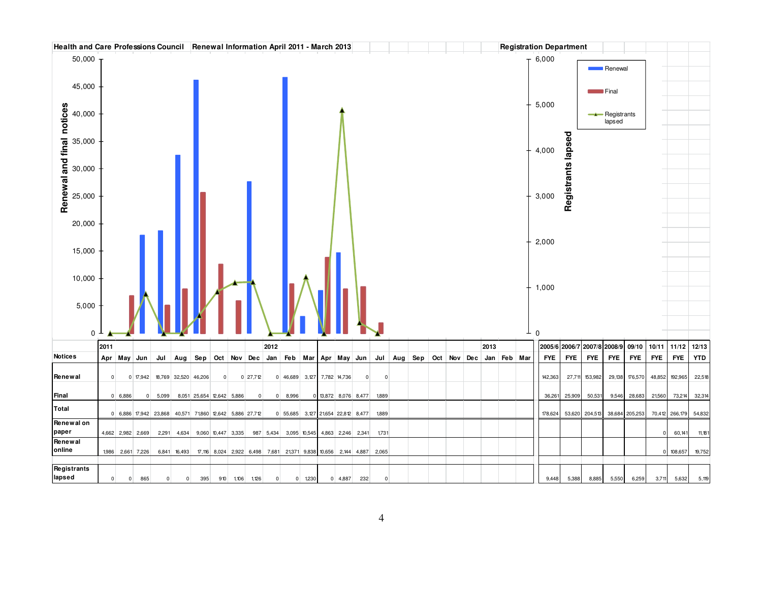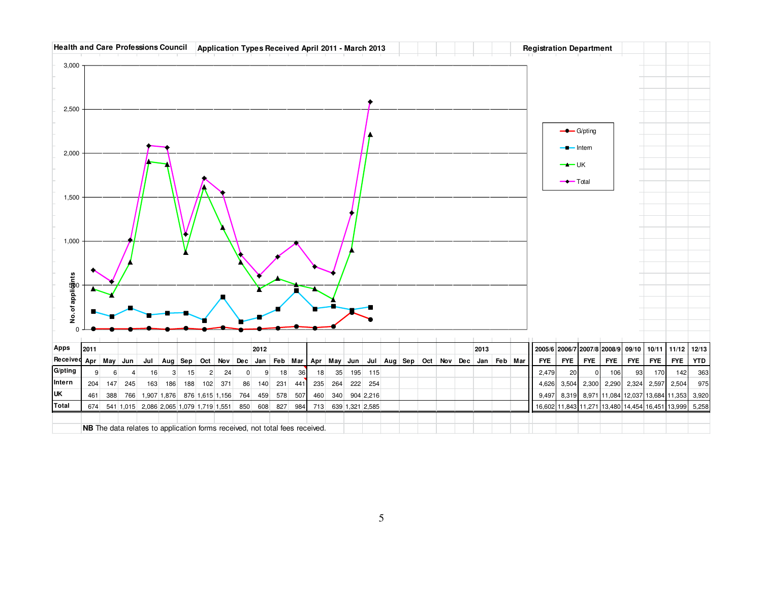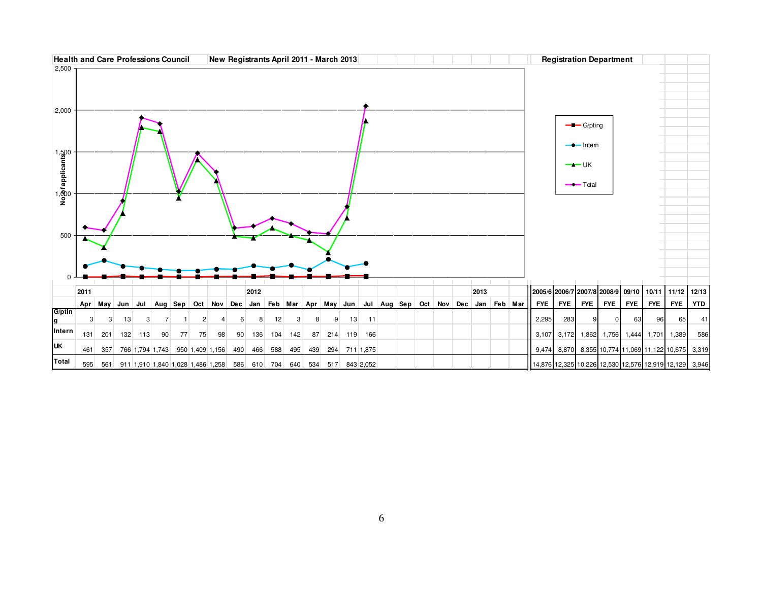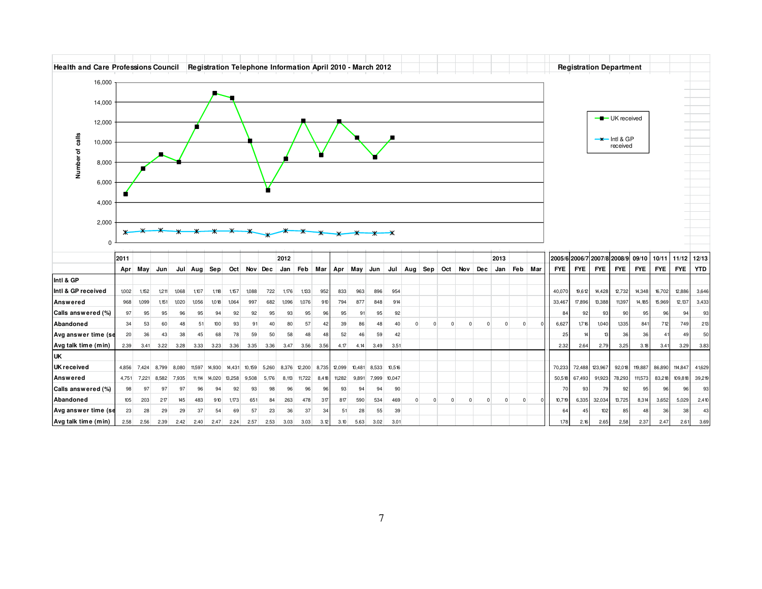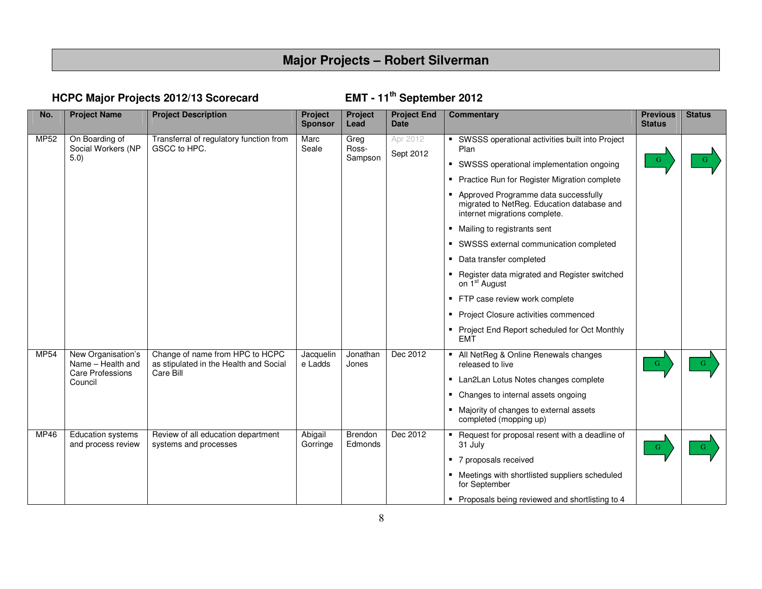# **Major Projects – Robert Silverman**

# **HCPC Major Projects 2012/13 Scorecard**

# EMT - 11<sup>th</sup> September 2012

| No.  | <b>Project Name</b>                                                           | <b>Project Description</b>                                                             | Project<br><b>Sponsor</b> | <b>Project</b><br>Lead   | <b>Project End</b><br><b>Date</b> | Commentary                                                                                                                                                                                                                                                                                                                                                                                                                                                                                                                                                                                                                                              | <b>Previous</b><br><b>Status</b> | <b>Status</b> |
|------|-------------------------------------------------------------------------------|----------------------------------------------------------------------------------------|---------------------------|--------------------------|-----------------------------------|---------------------------------------------------------------------------------------------------------------------------------------------------------------------------------------------------------------------------------------------------------------------------------------------------------------------------------------------------------------------------------------------------------------------------------------------------------------------------------------------------------------------------------------------------------------------------------------------------------------------------------------------------------|----------------------------------|---------------|
| MP52 | On Boarding of<br>Social Workers (NP<br>5.0)                                  | Transferral of regulatory function from<br>GSCC to HPC.                                | Marc<br>Seale             | Greg<br>Ross-<br>Sampson | Apr 2012<br>Sept 2012             | SWSSS operational activities built into Project<br>Plan<br>SWSSS operational implementation ongoing<br>٠<br>Practice Run for Register Migration complete<br>Approved Programme data successfully<br>$\blacksquare$<br>migrated to NetReg. Education database and<br>internet migrations complete.<br>■ Mailing to registrants sent<br>SWSSS external communication completed<br>٠<br>Data transfer completed<br>Register data migrated and Register switched<br>on 1 <sup>st</sup> August<br>FTP case review work complete<br>٠<br>Project Closure activities commenced<br>$\blacksquare$<br>Project End Report scheduled for Oct Monthly<br><b>EMT</b> | G                                |               |
| MP54 | New Organisation's<br>Name - Health and<br><b>Care Professions</b><br>Council | Change of name from HPC to HCPC<br>as stipulated in the Health and Social<br>Care Bill | Jacquelin<br>e Ladds      | Jonathan<br>Jones        | Dec 2012                          | • All NetReg & Online Renewals changes<br>released to live<br>Lan2Lan Lotus Notes changes complete<br>$\blacksquare$<br>Changes to internal assets ongoing<br>٠<br>Majority of changes to external assets<br>$\blacksquare$<br>completed (mopping up)                                                                                                                                                                                                                                                                                                                                                                                                   | $\mathbf{G}$                     | G             |
| MP46 | Education systems<br>and process review                                       | Review of all education department<br>systems and processes                            | Abigail<br>Gorringe       | Brendon<br>Edmonds       | Dec 2012                          | Request for proposal resent with a deadline of<br>31 July<br>7 proposals received<br>• Meetings with shortlisted suppliers scheduled<br>for September<br>Proposals being reviewed and shortlisting to 4                                                                                                                                                                                                                                                                                                                                                                                                                                                 | $-G$                             |               |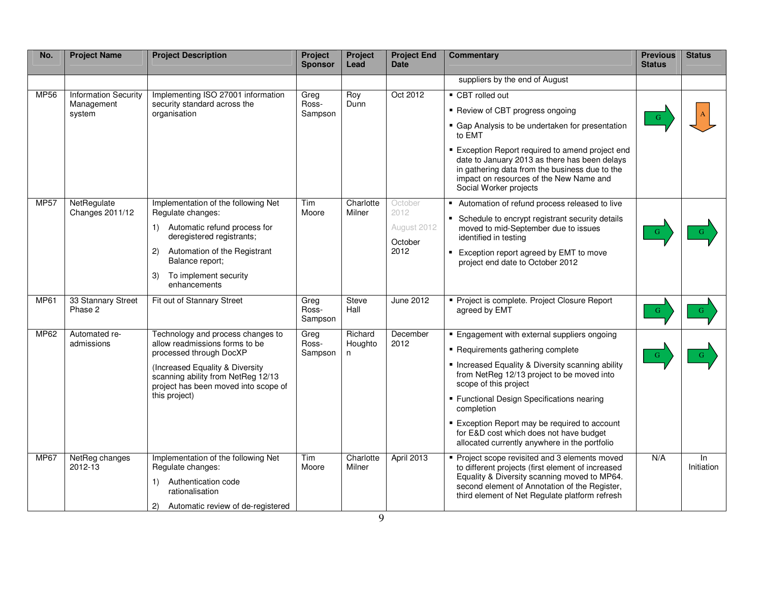| No.         | <b>Project Name</b>                                 | <b>Project Description</b>                                                                                                                                                                                                       | Project<br><b>Sponsor</b> | Project<br>Lead          | <b>Project End</b><br><b>Date</b>                 | <b>Commentary</b>                                                                                                                                                                                                                                                                                                                                                                                                  | <b>Previous</b><br><b>Status</b> | <b>Status</b>    |
|-------------|-----------------------------------------------------|----------------------------------------------------------------------------------------------------------------------------------------------------------------------------------------------------------------------------------|---------------------------|--------------------------|---------------------------------------------------|--------------------------------------------------------------------------------------------------------------------------------------------------------------------------------------------------------------------------------------------------------------------------------------------------------------------------------------------------------------------------------------------------------------------|----------------------------------|------------------|
|             |                                                     |                                                                                                                                                                                                                                  |                           |                          |                                                   | suppliers by the end of August                                                                                                                                                                                                                                                                                                                                                                                     |                                  |                  |
| <b>MP56</b> | <b>Information Security</b><br>Management<br>system | Implementing ISO 27001 information<br>security standard across the<br>organisation                                                                                                                                               | Greg<br>Ross-<br>Sampson  | Roy<br>Dunn              | Oct 2012                                          | ■ CBT rolled out<br>■ Review of CBT progress ongoing<br>• Gap Analysis to be undertaken for presentation<br>to EMT<br>■ Exception Report required to amend project end<br>date to January 2013 as there has been delays<br>in gathering data from the business due to the<br>impact on resources of the New Name and<br>Social Worker projects                                                                     |                                  |                  |
| <b>MP57</b> | NetRegulate<br>Changes 2011/12                      | Implementation of the following Net<br>Regulate changes:<br>1) Automatic refund process for<br>deregistered registrants;<br>Automation of the Registrant<br>2)<br>Balance report;<br>3)<br>To implement security<br>enhancements | Tim<br>Moore              | Charlotte<br>Milner      | October<br>2012<br>August 2012<br>October<br>2012 | Automation of refund process released to live<br>• Schedule to encrypt registrant security details<br>moved to mid-September due to issues<br>identified in testing<br>Exception report agreed by EMT to move<br>project end date to October 2012                                                                                                                                                                  | G                                |                  |
| <b>MP61</b> | 33 Stannary Street<br>Phase 2                       | Fit out of Stannary Street                                                                                                                                                                                                       | Greg<br>Ross-<br>Sampson  | <b>Steve</b><br>Hall     | June 2012                                         | Project is complete. Project Closure Report<br>agreed by EMT                                                                                                                                                                                                                                                                                                                                                       | G.                               | G.               |
| <b>MP62</b> | Automated re-<br>admissions                         | Technology and process changes to<br>allow readmissions forms to be<br>processed through DocXP<br>(Increased Equality & Diversity<br>scanning ability from NetReg 12/13<br>project has been moved into scope of<br>this project) | Greg<br>Ross-<br>Sampson  | Richard<br>Houghto<br>n. | December<br>2012                                  | • Engagement with external suppliers ongoing<br>Requirements gathering complete<br>• Increased Equality & Diversity scanning ability<br>from NetReg 12/13 project to be moved into<br>scope of this project<br>• Functional Design Specifications nearing<br>completion<br>Exception Report may be required to account<br>for E&D cost which does not have budget<br>allocated currently anywhere in the portfolio | G                                |                  |
| <b>MP67</b> | NetReg changes<br>2012-13                           | Implementation of the following Net<br>Regulate changes:<br>Authentication code<br>1)<br>rationalisation<br>2)<br>Automatic review of de-registered                                                                              | Tim<br>Moore              | Charlotte<br>Milner      | April 2013                                        | Project scope revisited and 3 elements moved<br>to different projects (first element of increased<br>Equality & Diversity scanning moved to MP64.<br>second element of Annotation of the Register,<br>third element of Net Regulate platform refresh                                                                                                                                                               | N/A                              | In<br>Initiation |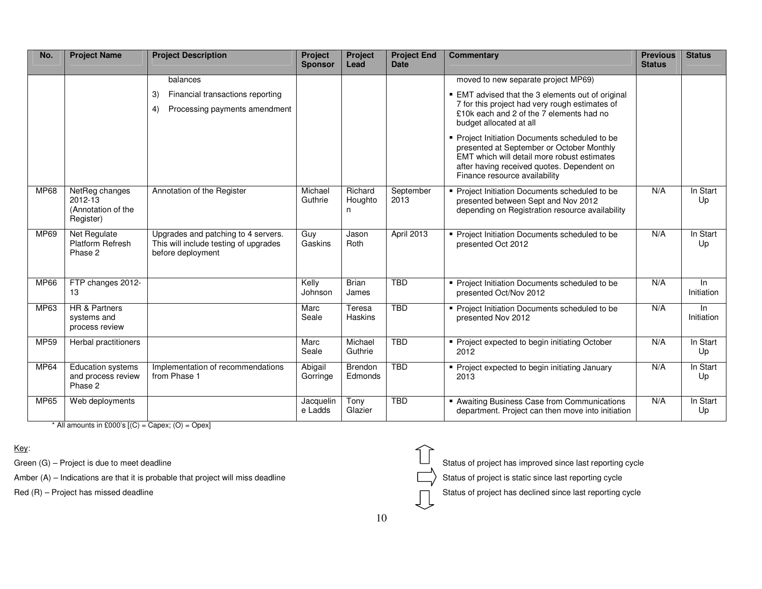| No.         | <b>Project Name</b>                                          | <b>Project Description</b>                                                                        | Project<br><b>Sponsor</b> | Project<br>Lead         | <b>Project End</b><br><b>Date</b> | <b>Commentary</b>                                                                                                                                                                                                         | <b>Previous</b><br><b>Status</b> | <b>Status</b>       |
|-------------|--------------------------------------------------------------|---------------------------------------------------------------------------------------------------|---------------------------|-------------------------|-----------------------------------|---------------------------------------------------------------------------------------------------------------------------------------------------------------------------------------------------------------------------|----------------------------------|---------------------|
|             |                                                              | balances                                                                                          |                           |                         |                                   | moved to new separate project MP69)                                                                                                                                                                                       |                                  |                     |
|             |                                                              | Financial transactions reporting<br>3)<br>Processing payments amendment<br>4)                     |                           |                         |                                   | ■ EMT advised that the 3 elements out of original<br>7 for this project had very rough estimates of<br>£10k each and 2 of the 7 elements had no<br>budget allocated at all                                                |                                  |                     |
|             |                                                              |                                                                                                   |                           |                         |                                   | • Project Initiation Documents scheduled to be<br>presented at September or October Monthly<br>EMT which will detail more robust estimates<br>after having received quotes. Dependent on<br>Finance resource availability |                                  |                     |
| <b>MP68</b> | NetReg changes<br>2012-13<br>(Annotation of the<br>Register) | Annotation of the Register                                                                        | Michael<br>Guthrie        | Richard<br>Houghto<br>n | September<br>2013                 | Project Initiation Documents scheduled to be<br>presented between Sept and Nov 2012<br>depending on Registration resource availability                                                                                    | N/A                              | In Start<br>Up      |
| MP69        | Net Regulate<br>Platform Refresh<br>Phase 2                  | Upgrades and patching to 4 servers.<br>This will include testing of upgrades<br>before deployment | Guy<br>Gaskins            | Jason<br>Roth           | April 2013                        | Project Initiation Documents scheduled to be<br>presented Oct 2012                                                                                                                                                        | N/A                              | In Start<br>Up      |
| <b>MP66</b> | FTP changes 2012-<br>13                                      |                                                                                                   | Kelly<br>Johnson          | <b>Brian</b><br>James   | <b>TBD</b>                        | Project Initiation Documents scheduled to be<br>presented Oct/Nov 2012                                                                                                                                                    | N/A                              | In.<br>Initiation   |
| MP63        | <b>HR &amp; Partners</b><br>systems and<br>process review    |                                                                                                   | Marc<br>Seale             | Teresa<br>Haskins       | <b>TBD</b>                        | • Project Initiation Documents scheduled to be<br>presented Nov 2012                                                                                                                                                      | N/A                              | $\ln$<br>Initiation |
| MP59        | Herbal practitioners                                         |                                                                                                   | Marc<br>Seale             | Michael<br>Guthrie      | <b>TBD</b>                        | Project expected to begin initiating October<br>2012                                                                                                                                                                      | N/A                              | In Start<br>Up      |
| MP64        | <b>Education systems</b><br>and process review<br>Phase 2    | Implementation of recommendations<br>from Phase 1                                                 | Abigail<br>Gorringe       | Brendon<br>Edmonds      | <b>TBD</b>                        | • Project expected to begin initiating January<br>2013                                                                                                                                                                    | N/A                              | In Start<br>Up      |
| MP65        | Web deployments                                              |                                                                                                   | Jacquelin<br>e Ladds      | Tony<br>Glazier         | <b>TBD</b>                        | Awaiting Business Case from Communications<br>department. Project can then move into initiation                                                                                                                           | N/A                              | In Start<br>Up      |

 $*$  All amounts in £000's  $[(C) = \text{Capex}; (O) = \text{Opec}]$ 

Key:

Amber (A) – Indications are that it is probable that project will miss deadline  $\Box$  Status of project is static since last reporting cycle



Green  $(G)$  – Project is due to meet deadline Status of project has improved since last reporting cycle

Red  $(R)$  – Project has missed deadline Status of project has declined since last reporting cycle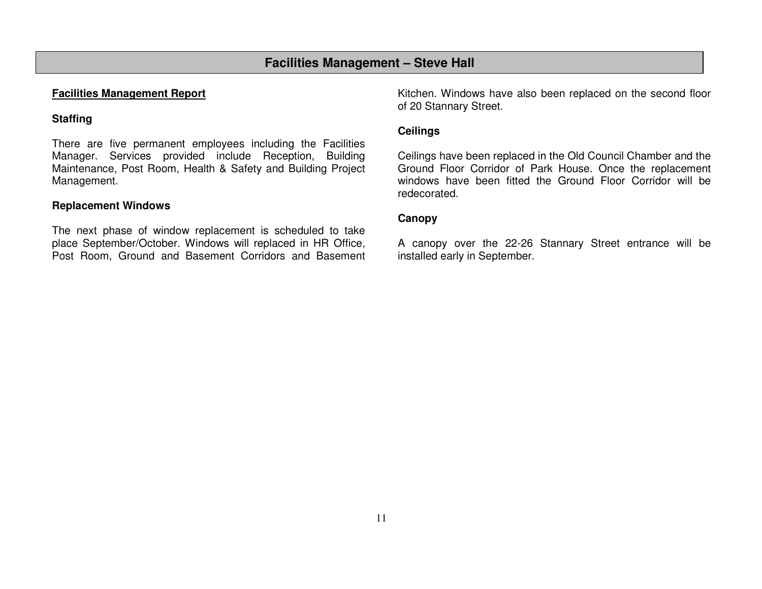# **Facilities Management – Steve Hall**

#### **Facilities Management Report**

# **Staffing**

There are five permanent employees including the Facilities Manager. Services provided include Reception, Building Maintenance, Post Room, Health & Safety and Building Project Management.

## **Replacement Windows**

The next phase of window replacement is scheduled to take place September/October. Windows will replaced in HR Office, Post Room, Ground and Basement Corridors and Basement

Kitchen. Windows have also been replaced on the second floor of 20 Stannary Street.

### **Ceilings**

Ceilings have been replaced in the Old Council Chamber and the Ground Floor Corridor of Park House. Once the replacement windows have been fitted the Ground Floor Corridor will be redecorated.

#### **Canopy**

A canopy over the 22-26 Stannary Street entrance will be installed early in September.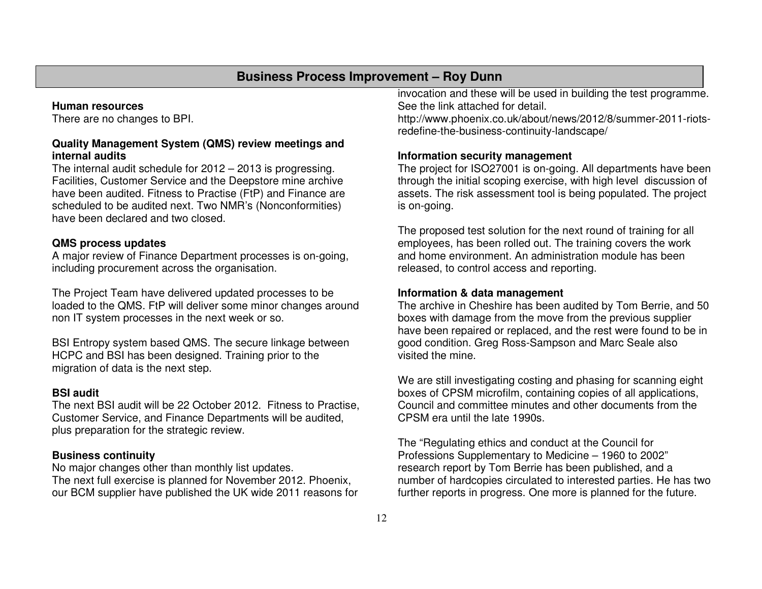# **Business Process Improvement – Roy Dunn**

#### **Human resources**

There are no changes to BPI.

#### **Quality Management System (QMS) review meetings andinternal audits**

 The internal audit schedule for 2012 – 2013 is progressing. Facilities, Customer Service and the Deepstore mine archive have been audited. Fitness to Practise (FtP) and Finance are scheduled to be audited next. Two NMR's (Nonconformities) have been declared and two closed.

#### **QMS process updates**

 A major review of Finance Department processes is on-going, including procurement across the organisation.

The Project Team have delivered updated processes to be loaded to the QMS. FtP will deliver some minor changes around non IT system processes in the next week or so.

BSI Entropy system based QMS. The secure linkage between HCPC and BSI has been designed. Training prior to the migration of data is the next step.

#### **BSI audit**

 The next BSI audit will be 22 October 2012. Fitness to Practise, Customer Service, and Finance Departments will be audited, plus preparation for the strategic review.

#### **Business continuity**

 No major changes other than monthly list updates. The next full exercise is planned for November 2012. Phoenix, our BCM supplier have published the UK wide 2011 reasons for invocation and these will be used in building the test programme. See the link attached for detail.

 http://www.phoenix.co.uk/about/news/2012/8/summer-2011-riotsredefine-the-business-continuity-landscape/

#### **Information security management**

 The project for ISO27001 is on-going. All departments have been through the initial scoping exercise, with high level discussion of assets. The risk assessment tool is being populated. The project is on-going.

The proposed test solution for the next round of training for all employees, has been rolled out. The training covers the work and home environment. An administration module has been released, to control access and reporting.

#### **Information & data management**

 The archive in Cheshire has been audited by Tom Berrie, and 50 boxes with damage from the move from the previous supplier have been repaired or replaced, and the rest were found to be in good condition. Greg Ross-Sampson and Marc Seale also visited the mine.

We are still investigating costing and phasing for scanning eight boxes of CPSM microfilm, containing copies of all applications, Council and committee minutes and other documents from the CPSM era until the late 1990s.

The "Regulating ethics and conduct at the Council for Professions Supplementary to Medicine – 1960 to 2002" research report by Tom Berrie has been published, and a number of hardcopies circulated to interested parties. He has two further reports in progress. One more is planned for the future.